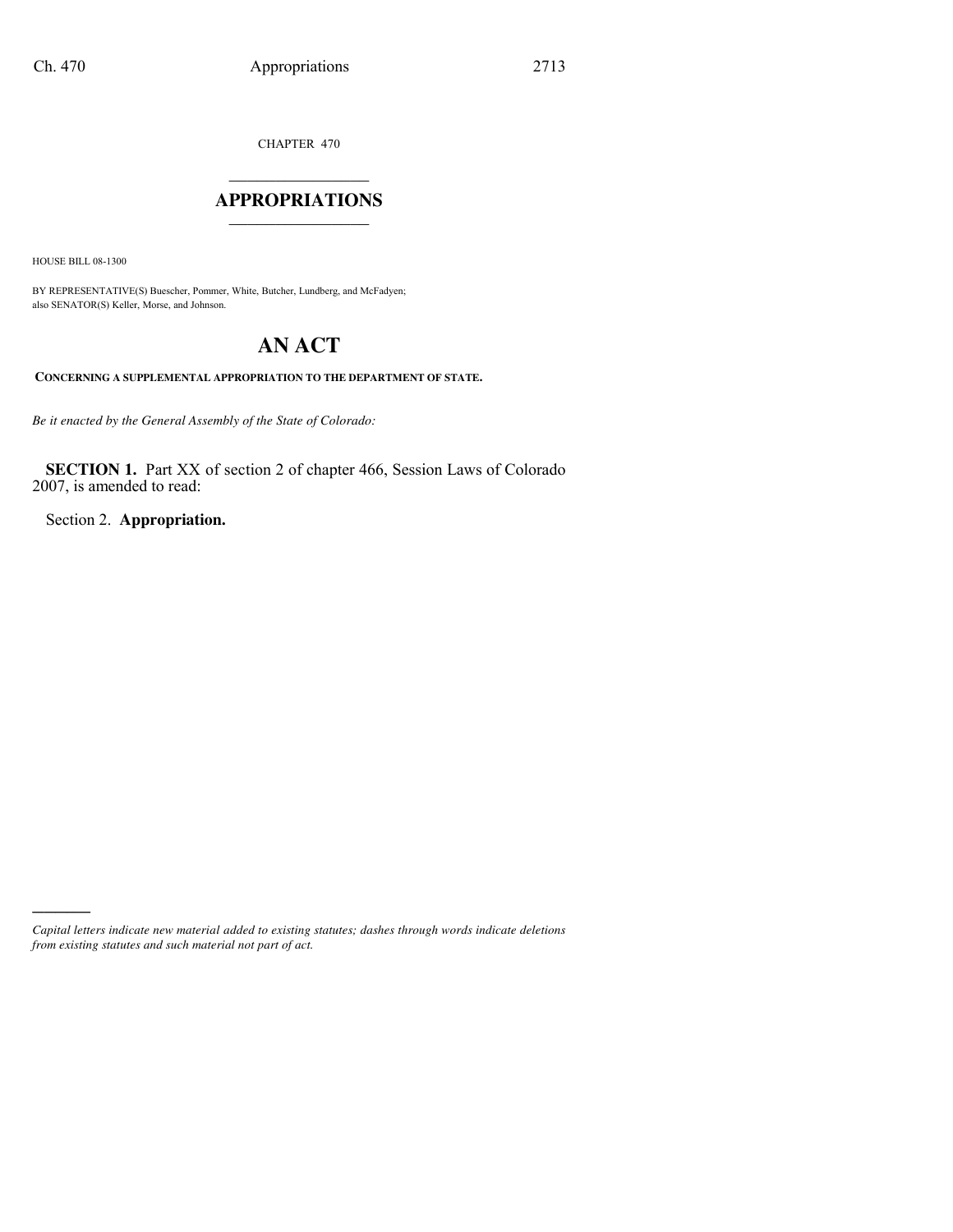CHAPTER 470

## $\mathcal{L}_\text{max}$  , where  $\mathcal{L}_\text{max}$ **APPROPRIATIONS** \_\_\_\_\_\_\_\_\_\_\_\_\_\_\_

HOUSE BILL 08-1300

)))))

BY REPRESENTATIVE(S) Buescher, Pommer, White, Butcher, Lundberg, and McFadyen; also SENATOR(S) Keller, Morse, and Johnson.

# **AN ACT**

**CONCERNING A SUPPLEMENTAL APPROPRIATION TO THE DEPARTMENT OF STATE.**

*Be it enacted by the General Assembly of the State of Colorado:*

**SECTION 1.** Part XX of section 2 of chapter 466, Session Laws of Colorado 2007, is amended to read:

Section 2. **Appropriation.**

*Capital letters indicate new material added to existing statutes; dashes through words indicate deletions from existing statutes and such material not part of act.*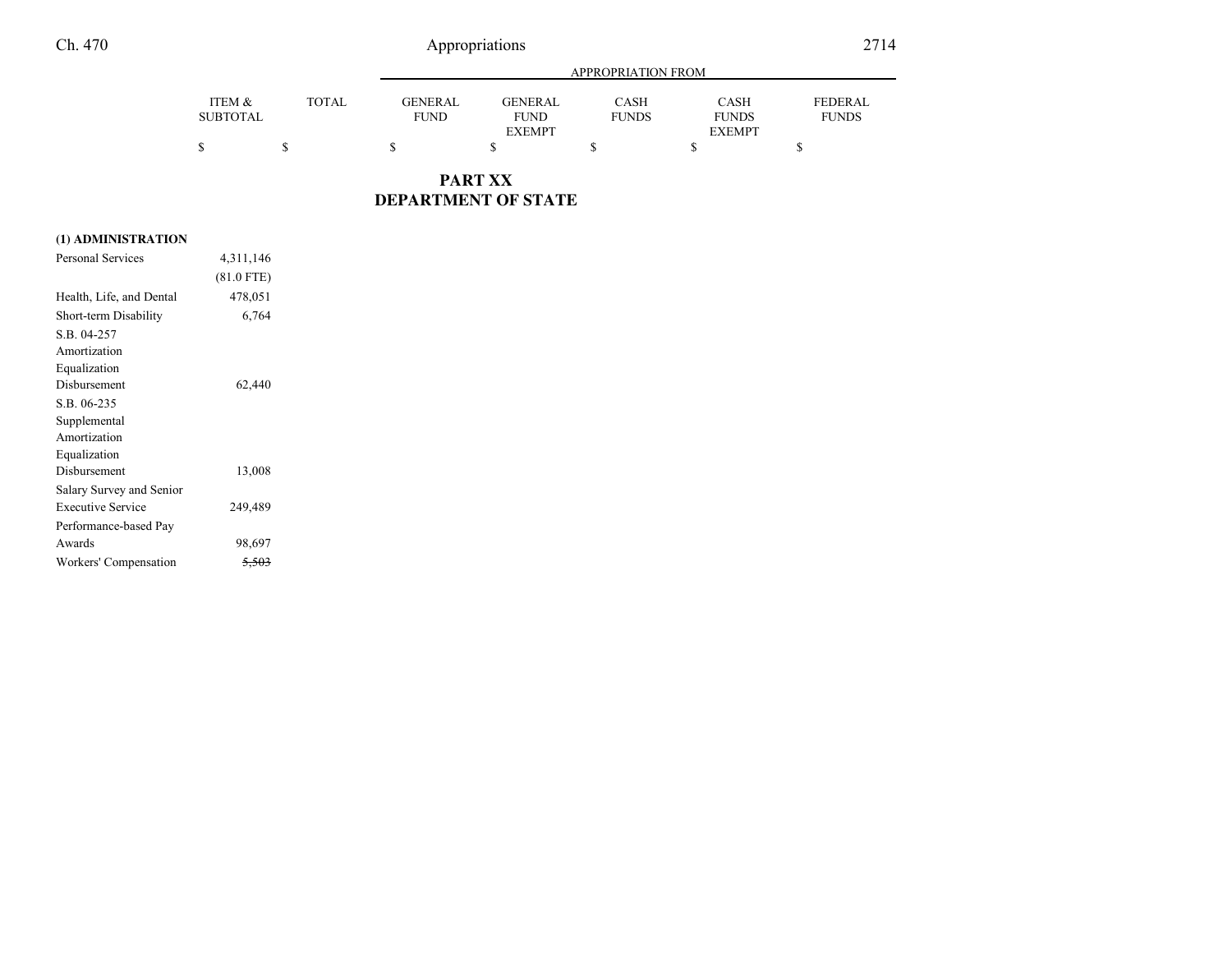## Appropriations 2714

|                 |              | APPROPRIATION FROM |               |              |               |                |
|-----------------|--------------|--------------------|---------------|--------------|---------------|----------------|
| ITEM &          | <b>TOTAL</b> | <b>GENERAL</b>     | GENERAL       | <b>CASH</b>  | <b>CASH</b>   | <b>FEDERAL</b> |
| <b>SUBTOTAL</b> |              | <b>FUND</b>        | <b>FUND</b>   | <b>FUNDS</b> | <b>FUNDS</b>  | <b>FUNDS</b>   |
|                 |              |                    | <b>EXEMPT</b> |              | <b>EXEMPT</b> |                |
|                 |              |                    |               |              |               |                |

**PART XXDEPARTMENT OF STATE**

### **(1) ADMINISTRATION**

| <b>Personal Services</b> | 4,311,146    |  |
|--------------------------|--------------|--|
|                          | $(81.0$ FTE) |  |
| Health, Life, and Dental | 478,051      |  |
| Short-term Disability    | 6,764        |  |
| S.B. 04-257              |              |  |
| Amortization             |              |  |
| Equalization             |              |  |
| Disbursement             | 62,440       |  |
| S.B. 06-235              |              |  |
| Supplemental             |              |  |
| Amortization             |              |  |
| Equalization             |              |  |
| Disbursement             | 13,008       |  |
| Salary Survey and Senior |              |  |
| <b>Executive Service</b> | 249,489      |  |
| Performance-based Pay    |              |  |
| Awards                   | 98,697       |  |
| Workers' Compensation    |              |  |
|                          |              |  |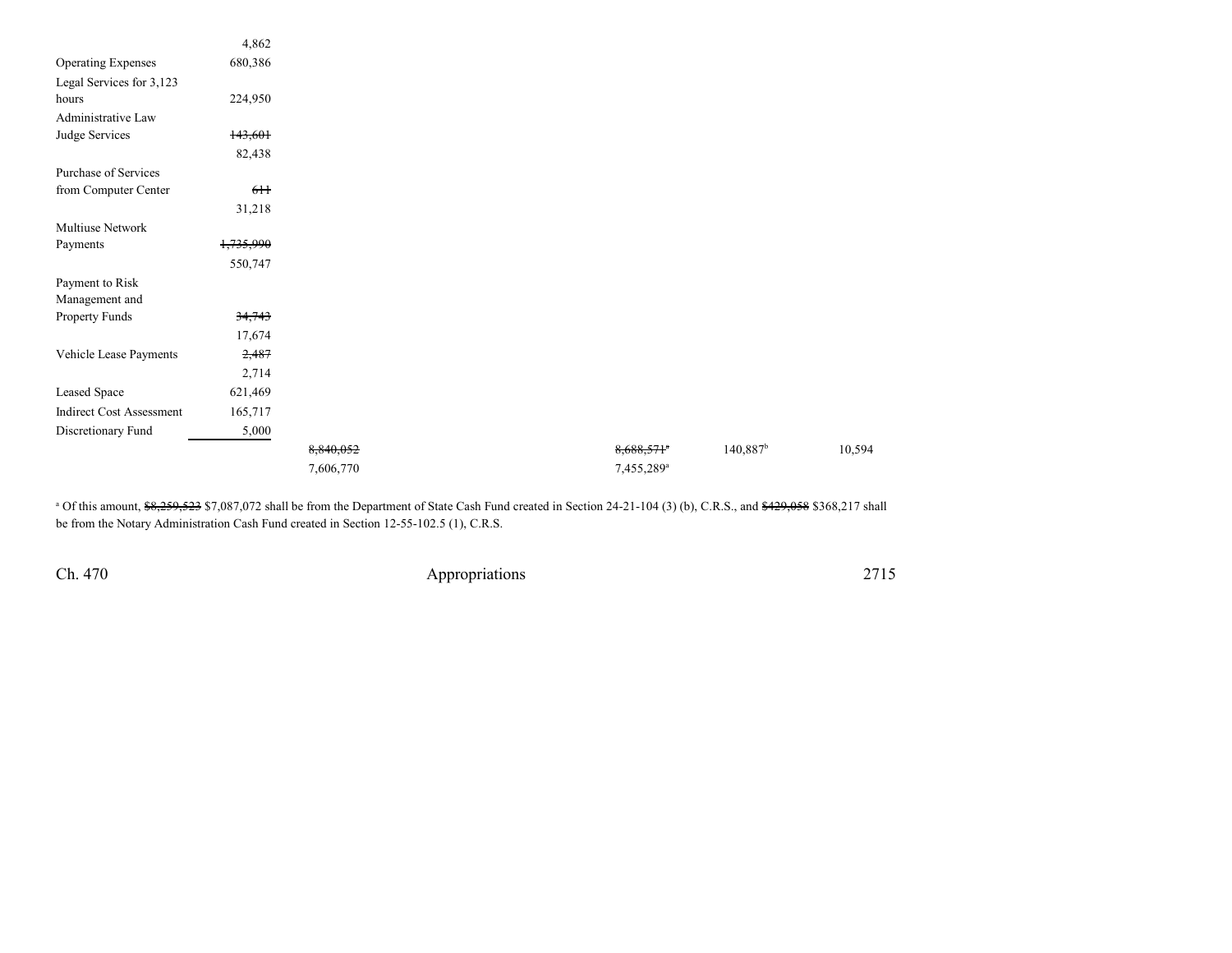| 680,386<br><b>Operating Expenses</b><br>224,950<br>143,601<br>82,438<br>6H<br>31,218<br>1,735,990<br>550,747                                     |
|--------------------------------------------------------------------------------------------------------------------------------------------------|
| Legal Services for 3,123                                                                                                                         |
| hours<br>Administrative Law<br>Judge Services<br>Purchase of Services<br>from Computer Center<br>Multiuse Network<br>Payments<br>Payment to Risk |
|                                                                                                                                                  |
|                                                                                                                                                  |
|                                                                                                                                                  |
|                                                                                                                                                  |
|                                                                                                                                                  |
|                                                                                                                                                  |
|                                                                                                                                                  |
|                                                                                                                                                  |
|                                                                                                                                                  |
|                                                                                                                                                  |
|                                                                                                                                                  |
| Management and                                                                                                                                   |
| Property Funds<br>34,743                                                                                                                         |
| 17,674                                                                                                                                           |
| Vehicle Lease Payments<br>2,487                                                                                                                  |
| 2,714                                                                                                                                            |
| Leased Space<br>621,469                                                                                                                          |
| <b>Indirect Cost Assessment</b><br>165,717                                                                                                       |
| Discretionary Fund<br>5,000                                                                                                                      |
| $140,887$ <sup>b</sup><br>$8,688,571$ <sup>e</sup><br>8,840,052                                                                                  |
| 7,606,770<br>7,455,289 <sup>a</sup>                                                                                                              |

<sup>a</sup> Of this amount, <del>\$8,259,523</del> \$7,087,072 shall be from the Department of State Cash Fund created in Section 24-21-104 (3) (b), C.R.S., and <del>\$429,058</del> \$368,217 shall be from the Notary Administration Cash Fund created in Section 12-55-102.5 (1), C.R.S.

Ch. 470

Appropriations <sup>2715</sup>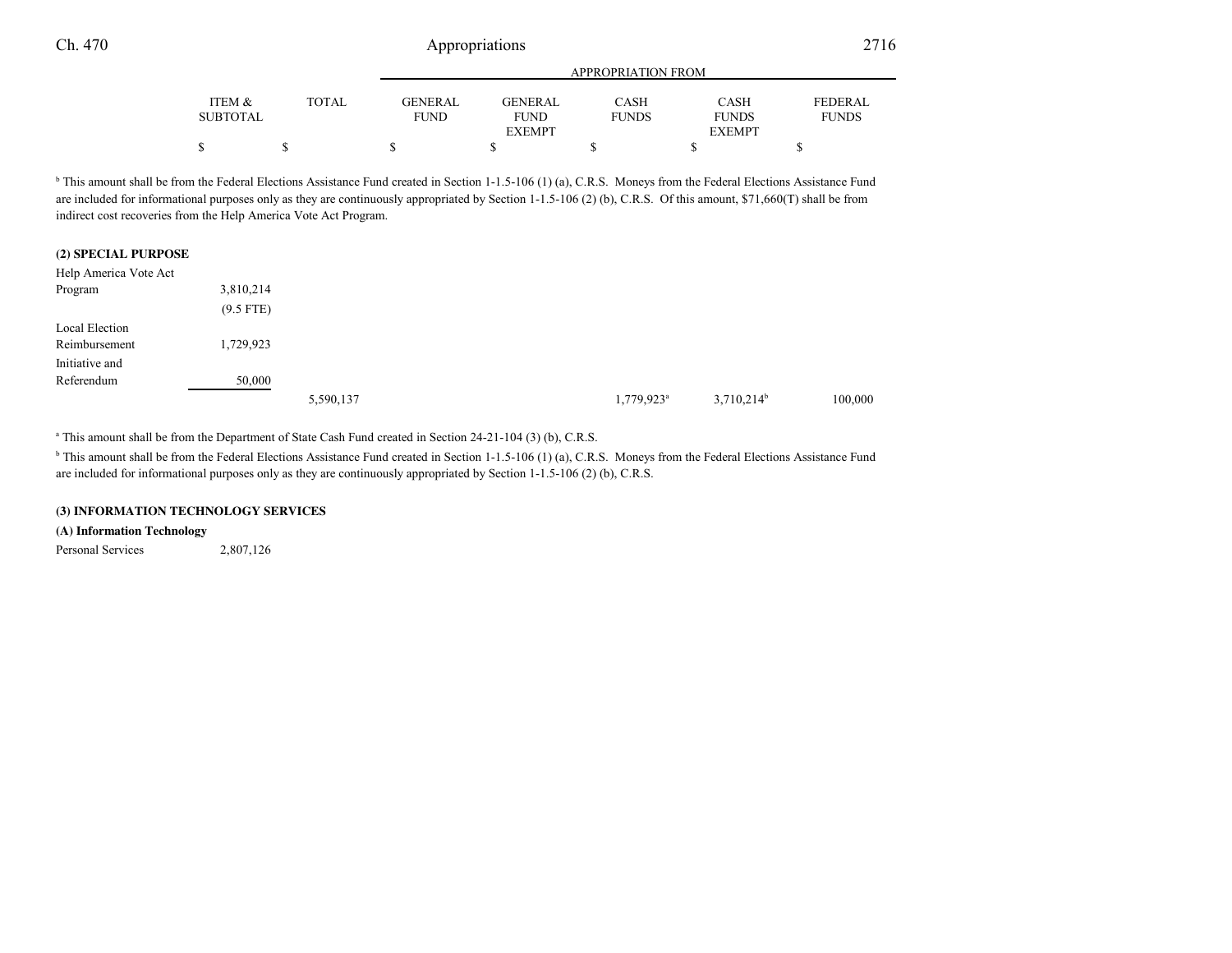|                 |       | <b>APPROPRIATION FROM</b> |                |              |               |                |
|-----------------|-------|---------------------------|----------------|--------------|---------------|----------------|
| ITEM &          | TOTAL | GENERAL                   | <b>GENERAL</b> | CASH         | <b>CASH</b>   | <b>FEDERAL</b> |
| <b>SUBTOTAL</b> |       | <b>FUND</b>               | <b>FUND</b>    | <b>FUNDS</b> | <b>FUNDS</b>  | <b>FUNDS</b>   |
|                 |       |                           | <b>EXEMPT</b>  |              | <b>EXEMPT</b> |                |
| \$              |       |                           |                |              |               |                |

<sup>b</sup> This amount shall be from the Federal Elections Assistance Fund created in Section 1-1.5-106 (1) (a), C.R.S. Moneys from the Federal Elections Assistance Fund are included for informational purposes only as they are continuously appropriated by Section 1-1.5-106 (2) (b), C.R.S. Of this amount, \$71,660(T) shall be from indirect cost recoveries from the Help America Vote Act Program.

#### **(2) SPECIAL PURPOSE**

| Help America Vote Act |             |           |                          |               |         |
|-----------------------|-------------|-----------|--------------------------|---------------|---------|
| Program               | 3,810,214   |           |                          |               |         |
|                       | $(9.5$ FTE) |           |                          |               |         |
| Local Election        |             |           |                          |               |         |
| Reimbursement         | 1,729,923   |           |                          |               |         |
| Initiative and        |             |           |                          |               |         |
| Referendum            | 50,000      |           |                          |               |         |
|                       |             | 5,590,137 | $1,779,923$ <sup>a</sup> | $3,710,214^b$ | 100,000 |

<sup>a</sup> This amount shall be from the Department of State Cash Fund created in Section 24-21-104 (3) (b), C.R.S.

<sup>b</sup> This amount shall be from the Federal Elections Assistance Fund created in Section 1-1.5-106 (1) (a), C.R.S. Moneys from the Federal Elections Assistance Fund are included for informational purposes only as they are continuously appropriated by Section 1-1.5-106 (2) (b), C.R.S.

#### **(3) INFORMATION TECHNOLOGY SERVICES**

#### **(A) Information Technology**

Personal Services 2,807,126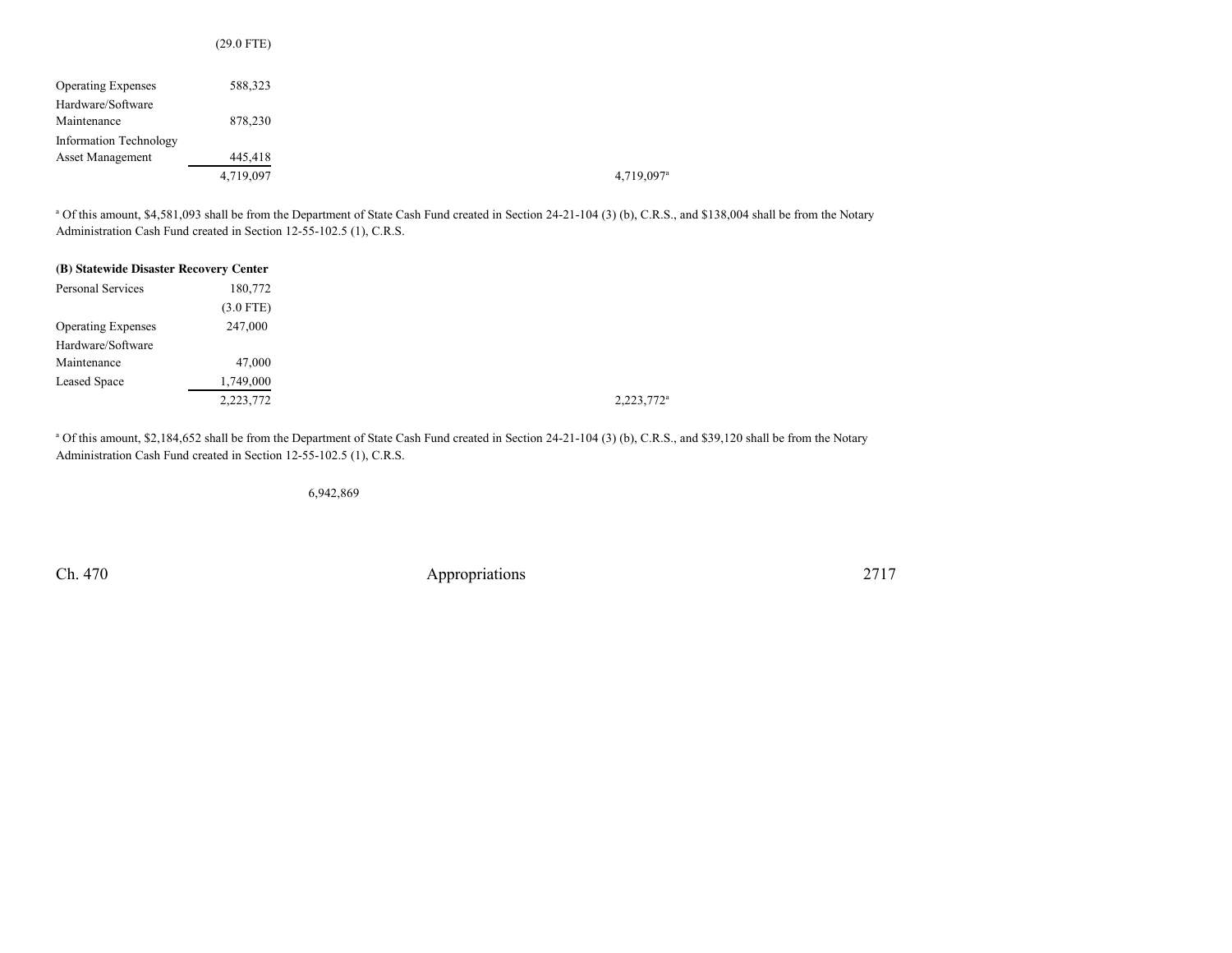|                               | $(29.0$ FTE) |
|-------------------------------|--------------|
|                               |              |
| <b>Operating Expenses</b>     | 588,323      |
| Hardware/Software             |              |
| Maintenance                   | 878,230      |
| <b>Information Technology</b> |              |
| <b>Asset Management</b>       | 445,418      |
|                               | 4,719,097    |

<sup>a</sup> Of this amount, \$4,581,093 shall be from the Department of State Cash Fund created in Section 24-21-104 (3) (b), C.R.S., and \$138,004 shall be from the Notary Administration Cash Fund created in Section 12-55-102.5 (1), C.R.S.

| (B) Statewide Disaster Recovery Center |             |
|----------------------------------------|-------------|
| Personal Services                      | 180,772     |
|                                        | $(3.0$ FTE) |
| <b>Operating Expenses</b>              | 247,000     |
| Hardware/Software                      |             |
| Maintenance                            | 47,000      |
| <b>Leased Space</b>                    | 1,749,000   |
|                                        | 2,223,772   |

<sup>a</sup> Of this amount, \$2,184,652 shall be from the Department of State Cash Fund created in Section 24-21-104 (3) (b), C.R.S., and \$39,120 shall be from the Notary Administration Cash Fund created in Section 12-55-102.5 (1), C.R.S.

6,942,869

Ch. 470

Appropriations 2717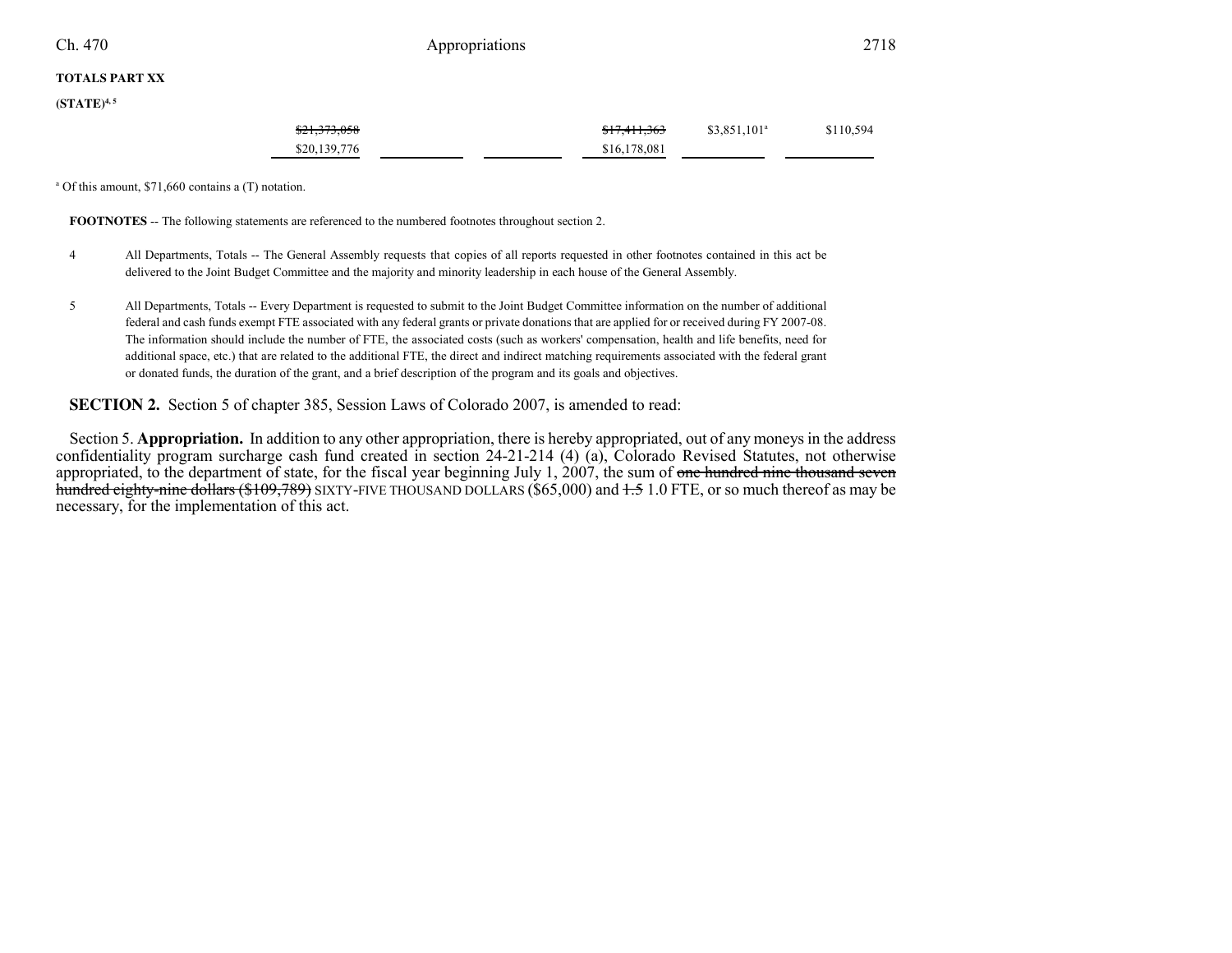Ch. 470

## 0 **Appropriations** 2718

### **TOTALS PART XX**

**(STATE)4, 5**

| \$21,373,058 | <del>\$17,411,363</del> | $$3,851,101^a$ | \$110,594 |
|--------------|-------------------------|----------------|-----------|
| \$20,139,776 | \$16,178,081            |                |           |

a Of this amount, \$71,660 contains a (T) notation.

**FOOTNOTES** -- The following statements are referenced to the numbered footnotes throughout section 2.

- <sup>4</sup> All Departments, Totals -- The General Assembly requests that copies of all reports requested in other footnotes contained in this act be delivered to the Joint Budget Committee and the majority and minority leadership in each house of the General Assembly.
- <sup>5</sup> All Departments, Totals -- Every Department is requested to submit to the Joint Budget Committee information on the number of additional federal and cash funds exempt FTE associated with any federal grants or private donations that are applied for or received during FY 2007-08.The information should include the number of FTE, the associated costs (such as workers' compensation, health and life benefits, need for additional space, etc.) that are related to the additional FTE, the direct and indirect matching requirements associated with the federal grantor donated funds, the duration of the grant, and a brief description of the program and its goals and objectives.

### **SECTION 2.** Section 5 of chapter 385, Session Laws of Colorado 2007, is amended to read:

Section 5. **Appropriation.** In addition to any other appropriation, there is hereby appropriated, out of any moneys in the address confidentiality program surcharge cash fund created in section 24-21-214 (4) (a), Colorado Revised Statutes, not otherwiseappropriated, to the department of state, for the fiscal year beginning July 1, 2007, the sum of <del>one hundred nine thousand seven</del> <del>hundred eighty-nine dollars (\$109,789)</del> SIXTY-FIVE THOUSAND DOLLARS (\$65,000) and <del>1.5</del> 1.0 FTE, or so much thereof as may be necessary, for the implementation of this act.